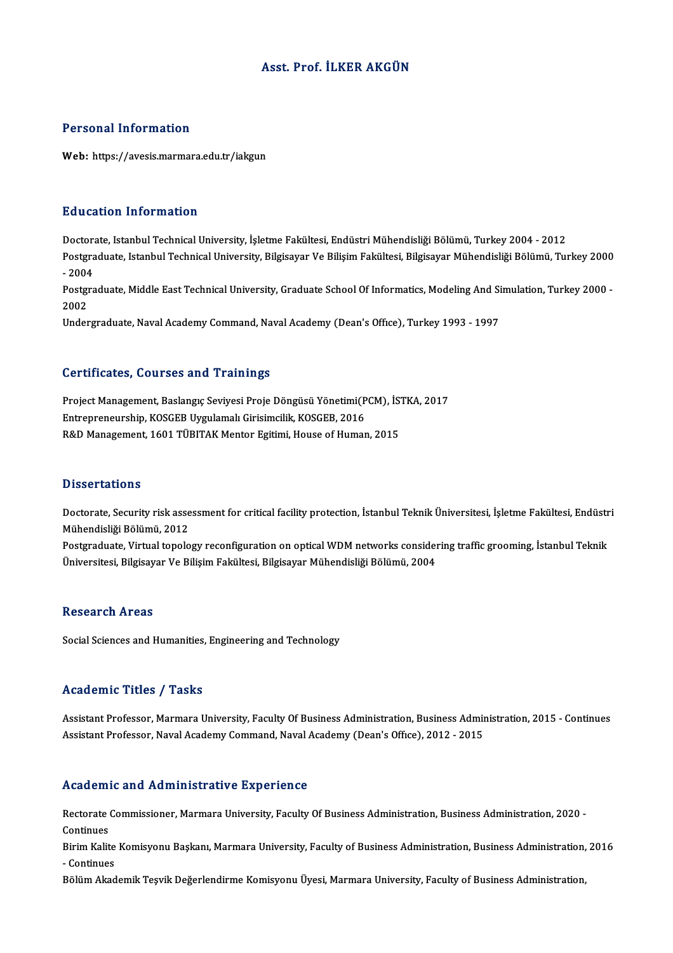### Asst. Prof. İLKER AKGÜN

#### Personal Information

Web: https://avesis.marmara.edu.tr/iakgun

#### Education Information

<mark>Education Information</mark><br>Doctorate, Istanbul Technical University, İşletme Fakültesi, Endüstri Mühendisliği Bölümü, Turkey 2004 - 2012<br>Postaraduata Istanbul Technical University, Bilgisayar Ve Bilisim Fakültesi, Bilgisayar Postgraduate, Istanbul Technical University, Bilgisayar Ve Bilişim Fakültesi, Bilgisayar Mühendisliği Bölümü, Turkey 2000<br>- 2004 Doctora<br>Postgra<br>- 2004<br>Postgra Postgraduate, Istanbul Technical University, Bilgisayar Ve Bilişim Fakültesi, Bilgisayar Mühendisliği Bölümü, Turkey 2000<br>- 2004<br>Postgraduate, Middle East Technical University, Graduate School Of Informatics, Modeling And - 2004<br>Postgi<br>2002<br>Under Postgraduate, Middle East Technical University, Graduate School Of Informatics, Modeling And Si<br>2002<br>Undergraduate, Naval Academy Command, Naval Academy (Dean's Office), Turkey 1993 - 1997

Undergraduate, Naval Academy Command, Naval Academy (Dean's Office), Turkey 1993 - 1997<br>Certificates, Courses and Trainings

Certificates, Courses and Trainings<br>Project Management, Baslangıç Seviyesi Proje Döngüsü Yönetimi(PCM), İSTKA, 2017<br>Entreppeneurebin KOSCEB Uygulamalı Girisimeilik, KOSCEB 2016 Entrepreneurship, Koschuses and Trammings<br>Project Management, Baslangıç Seviyesi Proje Döngüsü Yönetimi(P<br>Entrepreneurship, KOSGEB Uygulamalı Girisimcilik, KOSGEB, 2016<br>R<sup>e</sup>D Management, 1601 TüputAK Manter Egitimi, Hause Project Management, Baslangıç Seviyesi Proje Döngüsü Yönetimi(PCM), İS'<br>Entrepreneurship, KOSGEB Uygulamalı Girisimcilik, KOSGEB, 2016<br>R&D Management, 1601 TÜBITAK Mentor Egitimi, House of Human, 2015 R&D Management, 1601 TÜBITAK Mentor Egitimi, House of Human, 2015<br>Dissertations

Dissertations<br>Doctorate, Security risk assessment for critical facility protection, İstanbul Teknik Üniversitesi, İşletme Fakültesi, Endüstri<br>Mühandisliği Bölümü, 2012 2 1990er catrono<br>Doctorate, Security risk asse<br>Mühendisliği Bölümü, 2012<br>Postsraduate, Virtual tapala Doctorate, Security risk assessment for critical facility protection, İstanbul Teknik Üniversitesi, İşletme Fakültesi, Endüstr<br>Mühendisliği Bölümü, 2012<br>Postgraduate, Virtual topology reconfiguration on optical WDM network

Mühendisliği Bölümü, 2012<br>Postgraduate, Virtual topology reconfiguration on optical WDM networks considering traffic grooming, İstanbul Teknik<br>Üniversitesi, Bilgisayar Ve Bilişim Fakültesi, Bilgisayar Mühendisliği Bölümü,

#### **Research Areas**

Social Sciences and Humanities, Engineering and Technology

#### Academic Titles / Tasks

Assistant Professor, Marmara University, Faculty Of Business Administration, Business Administration, 2015 - Continues Assistant Professor, Naval Academy Command, Naval Academy (Dean's Office), 2012 - 2015

#### Academic and Administrative Experience

Academic and Administrative Experience<br>Rectorate Commissioner, Marmara University, Faculty Of Business Administration, Business Administration, 2020 -<br>Continues Rectorate<br>Continues<br>Pirim Kolit Rectorate Commissioner, Marmara University, Faculty Of Business Administration, Business Administration, 2020 -<br>Continues<br>Birim Kalite Komisyonu Başkanı, Marmara University, Faculty of Business Administration, Business Adm

Continues<br>Birim Kalite<br>- Continues<br>Pölüm Alrad Birim Kalite Komisyonu Başkanı, Marmara University, Faculty of Business Administration, Business Administration,<br>- Continues<br>Bölüm Akademik Teşvik Değerlendirme Komisyonu Üyesi, Marmara University, Faculty of Business Admi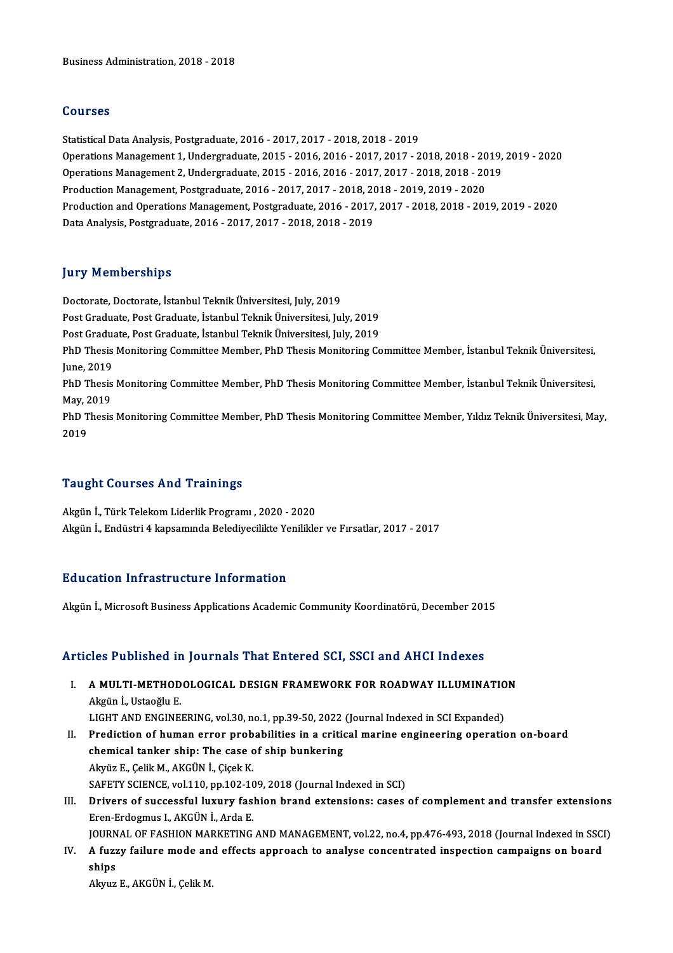#### Courses

StatisticalDataAnalysis,Postgraduate,2016 -2017,2017 -2018,2018 -2019 OperationsManagement1,Undergraduate,2015 -2016,2016 -2017,2017 -2018,2018 -2019,2019 -2020 Statistical Data Analysis, Postgraduate, 2016 - 2017, 2017 - 2018, 2018 - 2019<br>Operations Management 1, Undergraduate, 2015 - 2016, 2016 - 2017, 2017 - 2018, 2018 - 2019,<br>Operations Management 2, Undergraduate, 2015 - 2016 Operations Management 1, Undergraduate, 2015 - 2016, 2016 - 2017, 2017 - 2018, 2018 - 20<br>Operations Management 2, Undergraduate, 2015 - 2016, 2016 - 2017, 2017 - 2018, 2018 - 20<br>Production Management, Postgraduate, 2016 - Operations Management 2, Undergraduate, 2015 - 2016, 2016 - 2017, 2017 - 2018, 2018 - 2019<br>Production Management, Postgraduate, 2016 - 2017, 2017 - 2018, 2018 - 2019, 2019 - 2020<br>Production and Operations Management, Postg Production Management, Postgraduate, 2016 - 2017, 2017 - 2018, 2018 - 2019, 2019 - 2020<br>Production and Operations Management, Postgraduate, 2016 - 2017, 2017 - 2018, 2018 - 2019, 2019 - 2020<br>Data Analysis, Postgraduate, 20

#### **Jury Memberships**

Doctorate, Doctorate, İstanbul Teknik Üniversitesi, July, 2019 Post Graduate, Post Graduate, İstanbul Teknik Üniversitesi, July, 2019 Post Graduate, Post Graduate, İstanbul Teknik Üniversitesi, July, 2019 Post Graduate, Post Graduate, İstanbul Teknik Üniversitesi, July, 2019<br>Post Graduate, Post Graduate, İstanbul Teknik Üniversitesi, July, 2019<br>PhD Thesis Monitoring Committee Member, PhD Thesis Monitoring Committee Member, Post Gradu<br>PhD Thesis<br>June, 2019<br>PhD Thesis PhD Thesis Monitoring Committee Member, PhD Thesis Monitoring Committee Member, İstanbul Teknik Üniversitesi,<br>June, 2019<br>PhD Thesis Monitoring Committee Member, PhD Thesis Monitoring Committee Member, İstanbul Teknik Ünive June, 2019<br>PhD Thesis Monitoring Committee Member, PhD Thesis Monitoring Committee Member, İstanbul Teknik Üniversitesi,<br>May, 2019 PhD Thesis Monitoring Committee Member, PhD Thesis Monitoring Committee Member, İstanbul Teknik Üniversitesi,<br>May, 2019<br>PhD Thesis Monitoring Committee Member, PhD Thesis Monitoring Committee Member, Yıldız Teknik Üniversi May, 2<br>PhD T<br>2019

# Taught Courses And Trainings

Akgünİ.,TürkTelekomLiderlikProgramı ,2020 -2020 Akgün İ., Endüstri 4 kapsamında Belediyecilikte Yenilikler ve Fırsatlar, 2017 - 2017

#### Education Infrastructure Information

Akgün İ., Microsoft Business Applications Academic Community Koordinatörü, December 2015

#### Articles Published in Journals That Entered SCI, SSCI and AHCI Indexes

- rticles Published in Journals That Entered SCI, SSCI and AHCI Indexes<br>I. A MULTI-METHODOLOGICAL DESIGN FRAMEWORK FOR ROADWAY ILLUMINATION Akgün İ., Ustaoğlu E.<br>A MULTI-METHOD<br>Akgün İ., Ustaoğlu E.<br>LIGUT AND ENGINE. A MULTI-METHODOLOGICAL DESIGN FRAMEWORK FOR ROADWAY ILLUMINATIO<br>Akgün İ., Ustaoğlu E.<br>LIGHT AND ENGINEERING, vol.30, no.1, pp.39-50, 2022 (Journal Indexed in SCI Expanded)<br>Predistion of human enner prebabilities in a suiti Akgün İ., Ustaoğlu E.<br>LIGHT AND ENGINEERING, vol.30, no.1, pp.39-50, 2022 (Journal Indexed in SCI Expanded)<br>II. Prediction of human error probabilities in a critical marine engineering operation on-board<br>chemical tanker sh LIGHT AND ENGINEERING, vol.30, no.1, pp.39-50, 2022 (Journal Indexed in SCI Expanded)
- Akyüz E., Çelik M., AKGÜN İ., Çiçek K. chemical tanker ship: The case of ship bunkering<br>Akyüz E., Çelik M., AKGÜN İ., Çiçek K.<br>SAFETY SCIENCE, vol.110, pp.102-109, 2018 (Journal Indexed in SCI)<br>Privers of sussessful lurury fashion brand extensions: sasse Akyüz E., Çelik M., AKGÜN İ., Çiçek K.<br>SAFETY SCIENCE, vol.110, pp.102-109, 2018 (Journal Indexed in SCI)<br>III. Drivers of successful luxury fashion brand extensions: cases of complement and transfer extensions<br>Free Ext
- SAFETY SCIENCE, vol.110, pp.102-10<br>Drivers of successful luxury fasi<br>Eren-Erdogmus I., AKGÜN İ., Arda E.<br>JOUPNAL OE EASHON MAPKETINC Drivers of successful luxury fashion brand extensions: cases of complement and transfer extensions<br>Eren-Erdogmus I., AKGÜN İ., Arda E.<br>JOURNAL OF FASHION MARKETING AND MANAGEMENT, vol.22, no.4, pp.476-493, 2018 (Journal In

JOURNAL OF FASHION MARKETING AND MANAGEMENT, vol.22, no.4, pp.476-493, 2018 (Journal Indexed in SSCI)

Eren-Erdogmus I., AKGÜN İ., Arda E.<br>JOURNAL OF FASHION MARKETING AND MANAGEMENT, vol.22, no.4, pp.476-493, 2018 (Journal Indexed in SSC<br>IV. A fuzzy failure mode and effects approach to analyse concentrated inspection c

AkyuzE.,AKGÜNİ.,ÇelikM.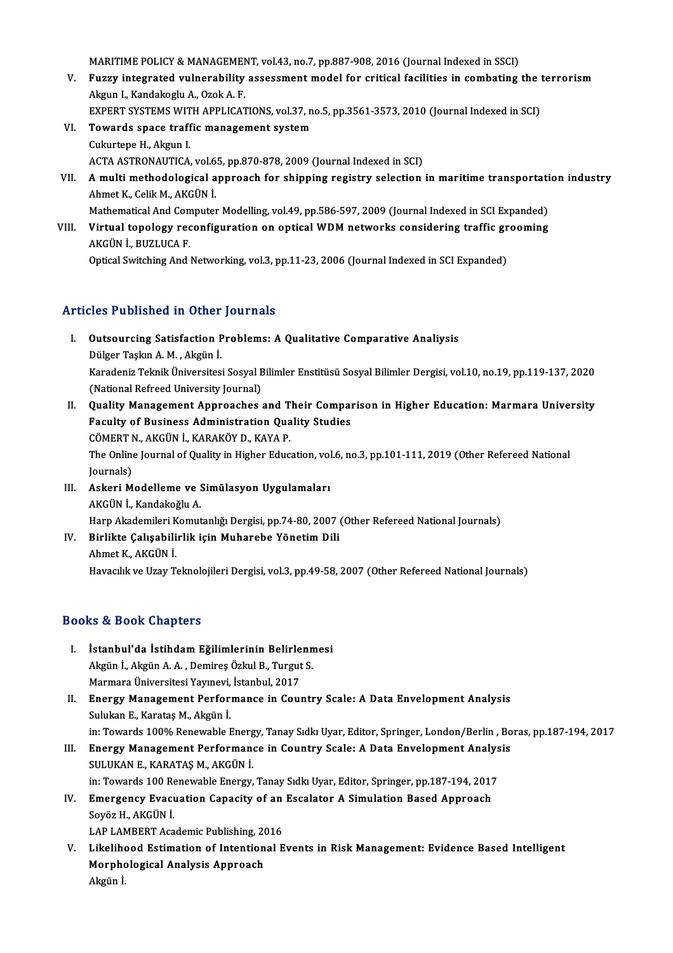MARITIME POLICY & MANAGEMENT, vol.43, no.7, pp.887-908, 2016 (Journal Indexed in SSCI)<br>Eugen integrated uulperability essessment model for exitisel fecilities in sembating

- MARITIME POLICY & MANAGEMENT, vol.43, no.7, pp.887-908, 2016 (Journal Indexed in SSCI)<br>V. Fuzzy integrated vulnerability assessment model for critical facilities in combating the terrorism MARITIME POLICY & MANAGEMEN<br>Fuzzy integrated vulnerability<br>Akgun I., Kandakoglu A., Ozok A. F.<br>EXPERT SYSTEMS WITH APPLICAT Fuzzy integrated vulnerability assessment model for critical facilities in combating the t<br>Akgun I., Kandakoglu A., Ozok A. F.<br>EXPERT SYSTEMS WITH APPLICATIONS, vol.37, no.5, pp.3561-3573, 2010 (Journal Indexed in SCI)<br>Tow EXPERT SYSTEMS WITH APPLICATIONS, vol.37, no.5, pp.3561-3573, 2010 (Journal Indexed in SCI)
- Akgun I., Kandakoglu A., Ozok A. F.<br>EXPERT SYSTEMS WITH APPLICATIONS, vol.37, 1<br>VI. Towards space traffic management system<br>Cukurtepe H., Akgun I. Towards space traffic management system<br>Cukurtepe H., Akgun I.<br>ACTA ASTRONAUTICA, vol.65, pp.870-878, 2009 (Journal Indexed in SCI)<br>A multi methodological annreach for chinning registry selection
- VII. A multi methodological approach for shipping registry selection in maritime transportation industry<br>Ahmet K., Celik M., AKGÜN İ. ACTA ASTRONAUTICA, vol.6<br>A multi methodological a<br>Ahmet K., Celik M., AKGÜN İ.<br>Mathamatical And Computat Mathematical And Computer Modelling, vol.49, pp.586-597, 2009 (Journal Indexed in SCI Expanded) Ahmet K., Celik M., AKGÜN İ.<br>Mathematical And Computer Modelling, vol.49, pp.586-597, 2009 (Journal Indexed in SCI Expanded)<br>VIII. Virtual topology reconfiguration on optical WDM networks considering traffic grooming<br>A
- Mathematical And Com<br>Virtual topology rec<br>AKGÜN İ., BUZLUCA F.<br>Ontical Suitching And I Virtual topology reconfiguration on optical WDM networks considering traffic gr<br>AKGÜN İ., BUZLUCA F.<br>Optical Switching And Networking, vol.3, pp.11-23, 2006 (Journal Indexed in SCI Expanded) Optical Switching And Networking, vol.3, pp.11-23, 2006 (Journal Indexed in SCI Expanded)<br>Articles Published in Other Journals

- rticles Published in Other Journals<br>I. Outsourcing Satisfaction Problems: A Qualitative Comparative Analiysis<br>Dülger Teelup A Mu Alraïn i Dülger Taşkın A.M. , Akgün İ.<br>Dülger Taşkın A.M. , Akgün İ.<br>Kanadaniz Talmik Üniversitesi Outsourcing Satisfaction Problems: A Qualitative Comparative Analiysis<br>Dülger Taşkın A. M. , Akgün İ.<br>Karadeniz Teknik Üniversitesi Sosyal Bilimler Enstitüsü Sosyal Bilimler Dergisi, vol.10, no.19, pp.119-137, 2020<br>(Nation Dülger Taşkın A. M. , Akgün İ.<br>Karadeniz Teknik Üniversitesi Sosyal E<br>(National Refreed University Journal)<br>Quality Managemant Annreashes Karadeniz Teknik Üniversitesi Sosyal Bilimler Enstitüsü Sosyal Bilimler Dergisi, vol.10, no.19, pp.119-137, 2020<br>(National Refreed University Journal)<br>II. Quality Management Approaches and Their Comparison in Higher Educat
- (National Refreed University Journal)<br>Quality Management Approaches and Their Compal<br>Faculty of Business Administration Quality Studies<br>CÖMERT N. AKCÜN İ. KARAKÖY D. KAYA R Quality Management Approaches and T<br>Faculty of Business Administration Qua<br>CÖMERT N., AKGÜN İ., KARAKÖY D., KAYA P.<br>The Online Journal of Quality in Higher Educ Faculty of Business Administration Quality Studies<br>CÖMERT N., AKGÜN İ., KARAKÖY D., KAYA P.<br>The Online Journal of Quality in Higher Education, vol.6, no.3, pp.101-111, 2019 (Other Refereed National<br>Journals) CÖMERT N., AKGÜN İ., KARAKÖY D., KAYA P. The Online Journal of Quality in Higher Education, vol<br>Journals)<br>III. Askeri Modelleme ve Simülasyon Uygulamaları<br>AKCÜN İ. Kandelteğlu A
- Journals)<br><mark>Askeri Modelleme ve :</mark><br>AKGÜN İ., Kandakoğlu A.<br>Harn Alradamileri Kamut AKGÜN İ., Kandakoğlu A.<br>Harp Akademileri Komutanlığı Dergisi, pp.74-80, 2007 (Other Refereed National Journals) AKGÜN İ., Kandakoğlu A.<br>IV. Birlikte Çalışabilirlik için Muharebe Yönetim Dili<br>Ahmat K. AKGÜN İ.
- Harp Akademileri K<br><mark>Birlikte Çalışabili</mark><br>Ahmet K., AKGÜN İ.<br>Havasılık ve Havr T. Ahmet K., AKGÜN İ.<br>Havacılık ve Uzay Teknolojileri Dergisi, vol.3, pp.49-58, 2007 (Other Refereed National Journals)

### Books&Book Chapters

- ooks & Book Chapters<br>I. İstanbul'da İstihdam Eğilimlerinin Belirlenmesi<br>Akgün İ. Akgün A.A. Domires Özkul B. Turgut S. 15 & 2001 Shaptors<br>İstanbul'da İstihdam Eğilimlerinin Belirlenn<br>Akgün İ., Akgün A. A. , Demireş Özkul B., Turgut S.<br>Marmara Üniversitesi Yayınevi, İstanbul 2017 İstanbul'da İstihdam Eğilimlerinin Belirle<br>Akgün İ., Akgün A. A. , Demireş Özkul B., Turgut<br>Marmara Üniversitesi Yayınevi, İstanbul, 2017<br>Fnargu Managamant Barfarmanga in Gauı
- Akgün İ., Akgün A. A. , Demireş Özkul B., Turgut S.<br>Marmara Üniversitesi Yayınevi, İstanbul, 2017<br>II. Energy Management Performance in Country Scale: A Data Envelopment Analysis<br>Sulukan E. Karatas M. Akgün İ Marmara Üniversitesi Yayınevi,<br><mark>Energy Management Perfor</mark>:<br>Sulukan E., Karataş M., Akgün İ.<br>in: Tourarda 10004 Banayınbla İ. Sulukan E., Karataş M., Akgün İ.<br>in: Towards 100% Renewable Energy, Tanay Sıdkı Uyar, Editor, Springer, London/Berlin , Boras, pp.187-194, 2017 Sulukan E., Karataş M., Akgün İ.<br>in: Towards 100% Renewable Energy, Tanay Sıdkı Uyar, Editor, Springer, London/Berlin , Bo<br>III. Energy Management Performance in Country Scale: A Data Envelopment Analysis<br>SIII.IIKAN E. KARA
- in: Towards 100% Renewable Energ<br><mark>Energy Management Performan</mark><br>SULUKAN E., KARATAŞ M., AKGÜN İ.<br>in: Towards 100 Benewable Energy. Energy Management Performance in Country Scale: A Data Envelopment Analys<br>SULUKAN E., KARATAŞ M., AKGÜN İ.<br>in: Towards 100 Renewable Energy, Tanay Sıdkı Uyar, Editor, Springer, pp.187-194, 2017<br>Emergengy, Evagyation Canasi SULUKAN E., KARATAŞ M., AKGÜN İ.<br>194, 2017 in: Towards 100 Renewable Energy, Tanay Sıdkı Uyar, Editor, Springer, pp.187-194, 2017<br>IV. Emergency Evacuation Capacity of an Escalator A Simulation Based Approach<br>50137 H. AVGÜN
- in: Towards 100 Re<br><mark>Emergency Evac</mark>u<br>Soyöz H., AKGÜN İ.<br>LAR LAMPERT AS Emergency Evacuation Capacity of an<br>Soyöz H., AKGÜN İ.<br>LAP LAMBERT Academic Publishing, 2016<br>Likalibaad Estimation of Intentional E
- Soyöz H., AKGÜN İ.<br>LAP LAMBERT Academic Publishing, 2016<br>V. Likelihood Estimation of Intentional Events in Risk Management: Evidence Based Intelligent<br>Mannhalagiaal Analysis Annraseh LAP LAMBERT Academic Publishing, 20<br>Likelihood Estimation of Intention<br>Morphological Analysis Approach<br>Aksün İ Li<mark>kelih</mark><br>Morpho<br>Akgün İ.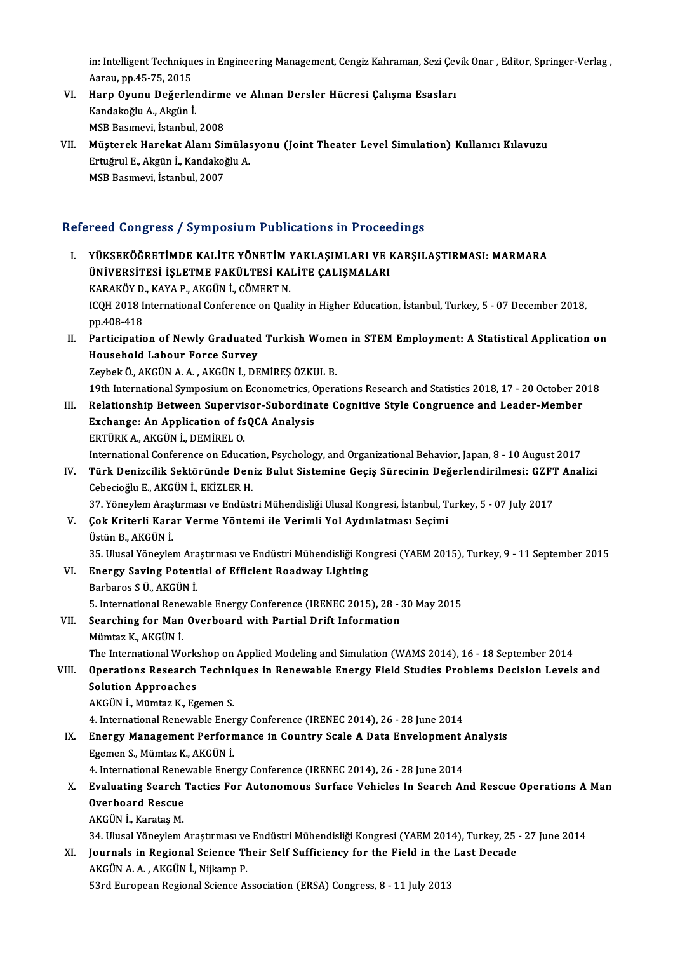in: Intelligent Techniques in Engineering Management, Cengiz Kahraman, Sezi Çevik Onar , Editor, Springer-Verlag ,<br>Aaray ,pp 45,75,2015 in: Intelligent Techniqu<br>Aarau, pp.45-75, 2015<br>Hann Owunu, Dežerle in: Intelligent Techniques in Engineering Management, Cengiz Kahraman, Sezi Çev<br>Aarau, pp.45-75, 2015<br>VI. Harp Oyunu Değerlendirme ve Alınan Dersler Hücresi Çalışma Esasları<br>Kandakağlu A. Akgün İ.

- Aarau, pp.45-75, 2015<br><mark>Harp Oyunu Değerler</mark><br>Kandakoğlu A., Akgün İ.<br>MSP Posumevi, İstanbul Harp Oyunu Değerlendirm<br>Kandakoğlu A., Akgün İ.<br>MSB Basımevi, İstanbul, 2008<br>Müstarek Harekat Alanı Sir Kandakoğlu A., Akgün İ.<br>1908 - MSB Basımevi, İstanbul, 2008<br>1910 - VII. Müşterek Harekat Alanı Simülasyonu (Joint Theater Level Simulation) Kullanıcı Kılavuzu
- MSB Basımevi, İstanbul, 2008<br>Müşterek Harekat Alanı Simülas<br>Ertuğrul E., Akgün İ., Kandakoğlu A.<br>MSP Basımevi, İstanbul, 2007 Müşterek Harekat Alanı Sir<br>Ertuğrul E., Akgün İ., Kandakoğ<br>MSB Basımevi, İstanbul, 2007

# MSB Basımevi, İstanbul, 2007<br>Refereed Congress / Symposium Publications in Proceedings

efereed Congress / Symposium Publications in Proceedings<br>I. YÜKSEKÖĞRETİMDE KALİTE YÖNETİM YAKLAŞIMLARI VE KARŞILAŞTIRMASI: MARMARA<br>ÜNİVERSİTESİ İSLETME FAKÜLTESİ KALİTE CALISMALARI TUCU ÜNIŞTÜSE 7 DJ III DÜNIMETIM YAKLAŞIMLARI VE I<br>ÜNİVERSİTESİ İŞLETME FAKÜLTESİ KALİTE ÇALIŞMALARI<br>KARAKÖY D, KAYA B, AKÇÜN İ, GÖMERT N YÜKSEKÖĞRETİMDE KALİTE YÖNETİM<br>ÜNİVERSİTESİ İŞLETME FAKÜLTESİ KA<br>KARAKÖY D., KAYA P., AKGÜN İ., CÖMERT N.<br>ICOH 2018 International Conference on Que ÜNİVERSİTESİ İŞLETME FAKÜLTESİ KALİTE ÇALIŞMALARI<br>KARAKÖY D., KAYA P., AKGÜN İ., CÖMERT N.<br>ICQH 2018 International Conference on Quality in Higher Education, İstanbul, Turkey, 5 - 07 December 2018,<br>nn 408 419 KARAKÖY D.<br>ICQH 2018 I<br>pp.408-418<br>Participatis ICQH 2018 International Conference on Quality in Higher Education, İstanbul, Turkey, 5 - 07 December 2018,<br>pp.408-418<br>II. Participation of Newly Graduated Turkish Women in STEM Employment: A Statistical Application on<br>Have pp.408-418<br>Participation of Newly Graduated<br>Household Labour Force Survey<br>Zarbek Ö. AKÇÜN A. A. AKÇÜN İ. DE Participation of Newly Graduated Turkish Wome<br>Household Labour Force Survey<br>Zeybek Ö., AKGÜN A. A. , AKGÜN İ., DEMİREŞ ÖZKUL B.<br>19th International Sunnesium en Esenemetriss Opera Household Labour Force Survey<br>Zeybek Ö., AKGÜN A. A. , AKGÜN İ., DEMİREŞ ÖZKUL B.<br>19th International Symposium on Econometrics, Operations Research and Statistics 2018, 17 - 20 October 2018<br>Relationship Returean Sunorvisor Zeybek Ö., AKGÜN A. A. , AKGÜN İ., DEMİREŞ ÖZKUL B.<br>19th International Symposium on Econometrics, Operations Research and Statistics 2018, 17 - 20 October 20<br>III. Relationship Between Supervisor-Subordinate Cognitive S 19th International Symposium on Econometrics, C<br>Relationship Between Supervisor-Subordina<br>Exchange: An Application of fsQCA Analysis<br>EPTÜPLA ALCÜN İ DEMİPELO Exchange: An Application of fsQCA Analysis<br>ERTÜRK A., AKGÜN İ., DEMİREL O. International Conference on Education, Psychology, and Organizational Behavior, Japan, 8 - 10 August 2017 ERTÜRK A., AKGÜN İ., DEMİREL O.<br>International Conference on Education, Psychology, and Organizational Behavior, Japan, 8 - 10 August 2017<br>IV. Türk Denizcilik Sektöründe Deniz Bulut Sistemine Geçiş Sürecinin Değerlendir International Conference on Educati<br>Türk Denizcilik Sektöründe Den<br>Cebecioğlu E., AKGÜN İ., EKİZLER H.<br>27 Vönevlem Arestumesı ve Endüst Türk Denizcilik Sektöründe Deniz Bulut Sistemine Geçiş Sürecinin Değerlendirilmesi: GZFT<br>Cebecioğlu E., AKGÜN İ., EKİZLER H.<br>37. Yöneylem Araştırması ve Endüstri Mühendisliği Ulusal Kongresi, İstanbul, Turkey, 5 - 07 July Cebecioğlu E., AKGÜN İ., EKİZLER H.<br>37. Yöneylem Araştırması ve Endüstri Mühendisliği Ulusal Kongresi, İstanbul, T.<br>V. Çok Kriterli Karar Verme Yöntemi ile Verimli Yol Aydınlatması Seçimi<br>Üstün B. AKÇÜN İ. 37. Yöneylem Araş<br>**Çok Kriterli Kara**<br>Üstün B., AKGÜN İ.<br><sup>25. Husel Yöneyle</sup> Çok Kriterli Karar Verme Yöntemi ile Verimli Yol Aydınlatması Seçimi<br>Üstün B., AKGÜN İ.<br>35. Ulusal Yöneylem Araştırması ve Endüstri Mühendisliği Kongresi (YAEM 2015), Turkey, 9 - 11 September 2015<br>Enengy Seving Petential o Üstün B., AKGÜN İ.<br>35. Ulusal Yöneylem Araştırması ve Endüstri Mühendisliği Koı<br>VI. Energy Saving Potential of Efficient Roadway Lighting<br>Barbaros S Ü., AKGÜN İ. 35. Ulusal Yöneylem Ara<br><mark>Energy Saving Potent</mark><br>Barbaros S Ü., AKGÜN İ.<br>5. International Benevre 5. International Renewable Energy Conference (IRENEC 2015), 28 - 30 May 2015 Barbaros S Ü., AKGÜN İ.<br>5. International Renewable Energy Conference (IRENEC 2015), 28 - 3<br>VII. Searching for Man Overboard with Partial Drift Information<br>Mümtar K. AKGÜN İ. 5. International Rene<br>Searching for Man<br>Mümtaz K., AKGÜN İ.<br>The International We Mümtaz K., AKGÜN İ.<br>The International Workshop on Applied Modeling and Simulation (WAMS 2014), 16 - 18 September 2014 Mümtaz K., AKGÜN İ.<br>The International Workshop on Applied Modeling and Simulation (WAMS 2014), 16 - 18 September 2014<br>VIII. Operations Research Techniques in Renewable Energy Field Studies Problems Decision Levels and<br> Solution Approaches<br>AKGÜN İ., Mümtaz K., Egemen S. Operations Research Techni<br>Solution Approaches<br>AKGÜN İ., Mümtaz K., Egemen S.<br>4. International Benewable Ener 4. International Renewable Energy Conference (IRENEC 2014), 26 - 28 June 2014 AKGÜN İ., Mümtaz K., Egemen S.<br>4. International Renewable Energy Conference (IRENEC 2014), 26 - 28 June 2014<br>IX. Energy Management Performance in Country Scale A Data Envelopment Analysis<br>Egement A Mümtar K. AKÇÜN İ. 4. International Renewable Ener<br>Energy Management Perforn<br>Egemen S., Mümtaz K., AKGÜN İ.<br>4. International Benewable Ener Energy Management Performance in Country Scale A Data Envelopment *I*<br>Egemen S., Mümtaz K., AKGÜN İ.<br>4. International Renewable Energy Conference (IRENEC 2014), 26 - 28 June 2014<br>Evaluating Search Testics Ear Autonomeus Su Egemen S., Mümtaz K., AKGÜN İ.<br>4. International Renewable Energy Conference (IRENEC 2014), 26 - 28 June 2014<br>X. Evaluating Search Tactics For Autonomous Surface Vehicles In Search And Rescue Operations A Man<br>Overheard 4. International Renewable Energy Conference (IRENEC 2014), 26 - 28 June 2014<br>Evaluating Search Tactics For Autonomous Surface Vehicles In Search Al<br>Overboard Rescue<br>AKGÜN İ., Karatas M. Evaluating Search<br>Overboard Rescue<br>AKGÜN İ., Karataş M.<br>24 Husal Yönevlem 34. Ulusal Yöneylem Araştırması ve Endüstri Mühendisliği Kongresi (YAEM 2014), Turkey, 25 - 27 June 2014 AKGÜN İ., Karataş M.<br>34. Ulusal Yöneylem Araştırması ve Endüstri Mühendisliği Kongresi (YAEM 2014), Turkey, 25<br>XI. Journals in Regional Science Their Self Sufficiency for the Field in the Last Decade<br>AKGÜN A.A. AKGÜN İ. Nü 34. Ulusal Yöneylem Araştırması ve<br>Journals in Regional Science Th<br>AKGÜN A. A. , AKGÜN İ., Nijkamp P.<br>5<sup>2</sup>nd Euroneen Begional Science A Journals in Regional Science Their Self Sufficiency for the Field in the<br>AKGÜN A. A. , AKGÜN İ., Nijkamp P.<br>53rd European Regional Science Association (ERSA) Congress, 8 - 11 July 2013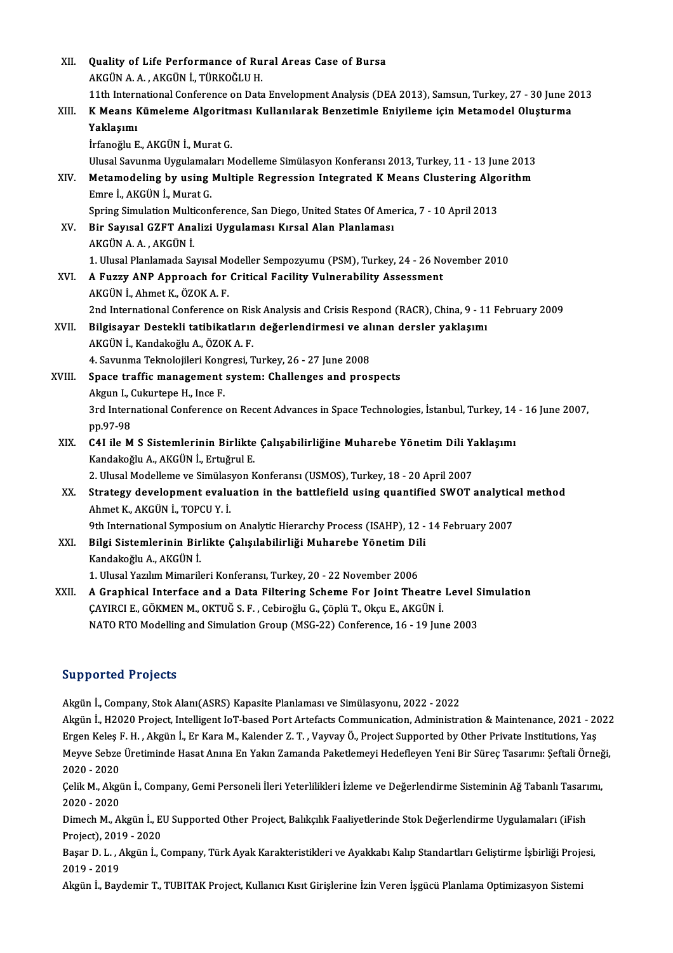| XII.   | Quality of Life Performance of Rural Areas Case of Bursa                                                    |
|--------|-------------------------------------------------------------------------------------------------------------|
|        | AKGÜN A. A., AKGÜN İ., TÜRKOĞLU H.                                                                          |
|        | 11th International Conference on Data Envelopment Analysis (DEA 2013), Samsun, Turkey, 27 - 30 June 2013    |
| XIII.  | K Means Kümeleme Algoritması Kullanılarak Benzetimle Eniyileme için Metamodel Oluşturma                     |
|        | Yaklaşımı                                                                                                   |
|        | İrfanoğlu E., AKGÜN İ., Murat G.                                                                            |
|        | Ulusal Savunma Uygulamaları Modelleme Simülasyon Konferansı 2013, Turkey, 11 - 13 June 2013                 |
| XIV.   | Metamodeling by using Multiple Regression Integrated K Means Clustering Algorithm                           |
|        | Emre İ., AKGÜN İ., Murat G.                                                                                 |
|        | Spring Simulation Multiconference, San Diego, United States Of America, 7 - 10 April 2013                   |
| XV.    | Bir Sayısal GZFT Analizi Uygulaması Kırsal Alan Planlaması                                                  |
|        | AKGÜN A.A., AKGÜN İ.                                                                                        |
|        | 1. Ulusal Planlamada Sayısal Modeller Sempozyumu (PSM), Turkey, 24 - 26 November 2010                       |
| XVI.   | A Fuzzy ANP Approach for Critical Facility Vulnerability Assessment                                         |
|        | AKGÜN İ, Ahmet K, ÖZOK A.F.                                                                                 |
|        | 2nd International Conference on Risk Analysis and Crisis Respond (RACR), China, 9 - 11 February 2009        |
| XVII.  | Bilgisayar Destekli tatibikatların değerlendirmesi ve alınan dersler yaklaşımı                              |
|        | AKGÜN İ., Kandakoğlu A., ÖZOK A. F.                                                                         |
|        | 4. Savunma Teknolojileri Kongresi, Turkey, 26 - 27 June 2008                                                |
| XVIII. | Space traffic management system: Challenges and prospects                                                   |
|        | Akgun I., Cukurtepe H., Ince F.                                                                             |
|        | 3rd International Conference on Recent Advances in Space Technologies, İstanbul, Turkey, 14 - 16 June 2007, |
|        | pp 97-98                                                                                                    |
| XIX.   | C4I ile M S Sistemlerinin Birlikte Çalışabilirliğine Muharebe Yönetim Dili Yaklaşımı                        |
|        | Kandakoğlu A., AKGÜN İ., Ertuğrul E.                                                                        |
|        | 2. Ulusal Modelleme ve Simülasyon Konferansı (USMOS), Turkey, 18 - 20 April 2007                            |
| XX.    | Strategy development evaluation in the battlefield using quantified SWOT analytical method                  |
|        | Ahmet K., AKGÜN İ., TOPCU Y. İ.                                                                             |
|        | 9th International Symposium on Analytic Hierarchy Process (ISAHP), 12 - 14 February 2007                    |
| XXI.   | Bilgi Sistemlerinin Birlikte Çalışılabilirliği Muharebe Yönetim Dili                                        |
|        | Kandakoğlu A., AKGÜN İ.                                                                                     |
|        | 1. Ulusal Yazılım Mimarileri Konferansı, Turkey, 20 - 22 November 2006                                      |
| XXII.  | A Graphical Interface and a Data Filtering Scheme For Joint Theatre Level Simulation                        |
|        | CAYIRCI E., GÖKMEN M., OKTUĞ S. F., Cebiroğlu G., Çöplü T., Okçu E., AKGÜN İ.                               |
|        | NATO RTO Modelling and Simulation Group (MSG-22) Conference, 16 - 19 June 2003                              |
|        |                                                                                                             |

### Supported Projects

Akgünİ.,Company,StokAlanı(ASRS)KapasitePlanlamasıve Simülasyonu,2022 -2022

Akgün İ., H2020 Project, Intelligent IoT-based Port Artefacts Communication, Administration & Maintenance, 2021 - 2022 Akgün İ., Company, Stok Alanı(ASRS) Kapasite Planlaması ve Simülasyonu, 2022 - 2022<br>Akgün İ., H2020 Project, Intelligent IoT-based Port Artefacts Communication, Administration & Maintenance, 2021 - 2(<br>Ergen Keleş F. H. , A Akgün İ., H2020 Project, Intelligent IoT-based Port Artefacts Communication, Administration & Maintenance, 2021 - 2022<br>Ergen Keleş F. H. , Akgün İ., Er Kara M., Kalender Z. T. , Vayvay Ö., Project Supported by Other Privat Ergen Keleş I<br>Meyve Sebze<br>2020 - 2020<br>Celik M. Akri Meyve Sebze Üretiminde Hasat Anına En Yakın Zamanda Paketlemeyi Hedefleyen Yeni Bir Süreç Tasarımı: Şeftali Örneği,<br>2020 - 2020<br>Çelik M., Akgün İ., Company, Gemi Personeli İleri Yeterlilikleri İzleme ve Değerlendirme Siste

2020 - 2020<br>Çelik M., Akgi<br>2020 - 2020<br>Dimash M. Al Çelik M., Akgün İ., Company, Gemi Personeli İleri Yeterlilikleri İzleme ve Değerlendirme Sisteminin Ağ Tabanlı Tasarı<br>2020 - 2020<br>Dimech M., Akgün İ., EU Supported Other Project, Balıkçılık Faaliyetlerinde Stok Değerlendir

2020 - 2020<br>Dimech M., Akgün İ., El<br>Project), 2019 - 2020<br>Bessa D. L., Akgün İ. ( Dimech M., Akgün İ., EU Supported Other Project, Balıkçılık Faaliyetlerinde Stok Değerlendirme Uygulamaları (iFish<br>Project), 2019 - 2020<br>Başar D. L. , Akgün İ., Company, Türk Ayak Karakteristikleri ve Ayakkabı Kalıp Standa

Project), 201<br>Başar D. L. , *f*<br>2019 - 2019<br>Als**rin İ. Bay** Başar D. L. , Akgün İ., Company, Türk Ayak Karakteristikleri ve Ayakkabı Kalıp Standartları Geliştirme İşbirliği Proje<br>2019 - 2019<br>Akgün İ., Baydemir T., TUBITAK Project, Kullanıcı Kısıt Girişlerine İzin Veren İşgücü Planl